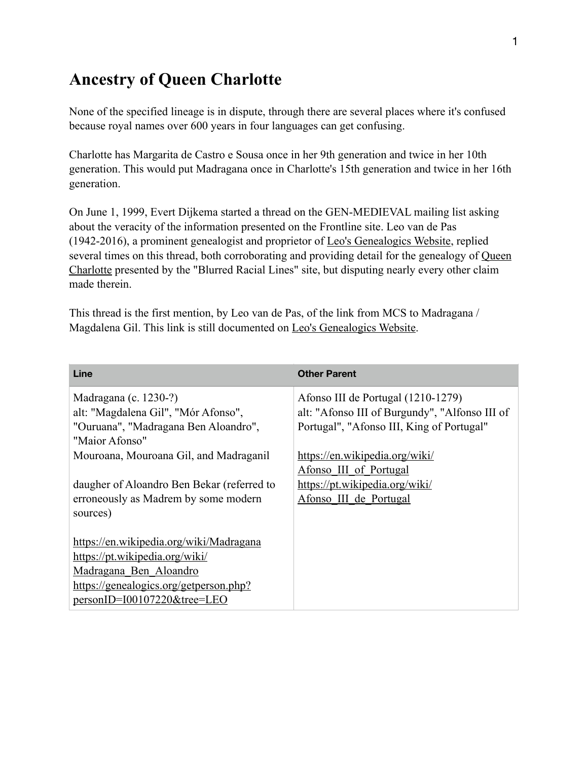# **Ancestry of Queen Charlotte**

None of the specified lineage is in dispute, through there are several places where it's confused because royal names over 600 years in four languages can get confusing.

Charlotte has Margarita de Castro e Sousa once in her 9th generation and twice in her 10th generation. This would put Madragana once in Charlotte's 15th generation and twice in her 16th generation.

On June 1, 1999, Evert Dijkema started a thread on the GEN-MEDIEVAL mailing list asking about the veracity of the information presented on the Frontline site. Leo van de Pas (1942-2016), a prominent genealogist and proprietor of [Leo's Genealogics Website,](http://%5Bhttps://www.genealogics.org/) replied several times on this thread, both corroborating and providing detail for the genealogy of Queen [Charlotte](https://www.pbs.org/wgbh/pages/frontline/shows/secret/famous/royalfamily.html) presented by the "Blurred Racial Lines" site, but disputing nearly every other claim made therein.

This thread is the first mention, by Leo van de Pas, of the link from MCS to Madragana / Magdalena Gil. This link is still documented on [Leo's Genealogics Website](http://%5Bhttps://www.genealogics.org/).

| Line                                       | <b>Other Parent</b>                            |
|--------------------------------------------|------------------------------------------------|
| Madragana (c. 1230-?)                      | Afonso III de Portugal (1210-1279)             |
| alt: "Magdalena Gil", "Mór Afonso",        | alt: "Afonso III of Burgundy", "Alfonso III of |
| "Ouruana", "Madragana Ben Aloandro",       | Portugal", "Afonso III, King of Portugal"      |
| "Maior Afonso"                             |                                                |
| Mouroana, Mouroana Gil, and Madraganil     | https://en.wikipedia.org/wiki/                 |
|                                            | Afonso III of Portugal                         |
| daugher of Aloandro Ben Bekar (referred to | https://pt.wikipedia.org/wiki/                 |
| erroneously as Madrem by some modern       | Afonso III de Portugal                         |
| sources)                                   |                                                |
|                                            |                                                |
| https://en.wikipedia.org/wiki/Madragana    |                                                |
| https://pt.wikipedia.org/wiki/             |                                                |
| Madragana Ben Aloandro                     |                                                |
| https://genealogics.org/getperson.php?     |                                                |
| personID=I00107220&tree=LEO                |                                                |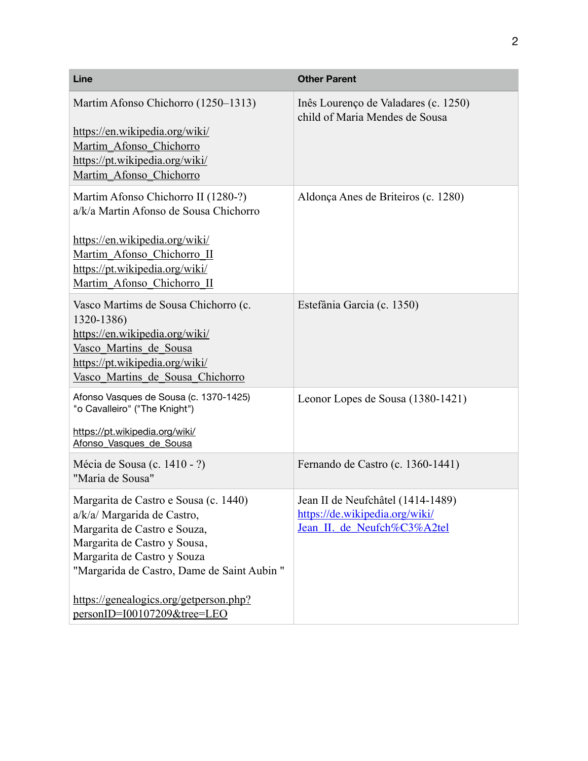| Line                                                                                                                                                                                                                                                                                       | <b>Other Parent</b>                                                                                |
|--------------------------------------------------------------------------------------------------------------------------------------------------------------------------------------------------------------------------------------------------------------------------------------------|----------------------------------------------------------------------------------------------------|
| Martim Afonso Chichorro (1250–1313)<br>https://en.wikipedia.org/wiki/<br>Martim Afonso Chichorro<br>https://pt.wikipedia.org/wiki/<br>Martim Afonso Chichorro                                                                                                                              | Inês Lourenço de Valadares (c. 1250)<br>child of Maria Mendes de Sousa                             |
| Martim Afonso Chichorro II (1280-?)<br>a/k/a Martin Afonso de Sousa Chichorro<br>https://en.wikipedia.org/wiki/<br>Martim Afonso Chichorro II<br>https://pt.wikipedia.org/wiki/<br>Martim Afonso Chichorro II                                                                              | Aldonça Anes de Briteiros (c. 1280)                                                                |
| Vasco Martims de Sousa Chichorro (c.<br>1320-1386)<br>https://en.wikipedia.org/wiki/<br>Vasco Martins de Sousa<br>https://pt.wikipedia.org/wiki/<br>Vasco Martins de Sousa Chichorro                                                                                                       | Estefânia Garcia (c. 1350)                                                                         |
| Afonso Vasques de Sousa (c. 1370-1425)<br>"o Cavalleiro" ("The Knight")<br>https://pt.wikipedia.org/wiki/<br>Afonso Vasques de Sousa                                                                                                                                                       | Leonor Lopes de Sousa (1380-1421)                                                                  |
| Mécia de Sousa (c. 1410 - ?)<br>"Maria de Sousa"                                                                                                                                                                                                                                           | Fernando de Castro (c. 1360-1441)                                                                  |
| Margarita de Castro e Sousa (c. 1440)<br>a/k/a/ Margarida de Castro,<br>Margarita de Castro e Souza,<br>Margarita de Castro y Sousa,<br>Margarita de Castro y Souza<br>"Margarida de Castro, Dame de Saint Aubin"<br>https://genealogics.org/getperson.php?<br>personID=I00107209&tree=LEO | Jean II de Neufchâtel (1414-1489)<br>https://de.wikipedia.org/wiki/<br>Jean_II. de_Neufch%C3%A2tel |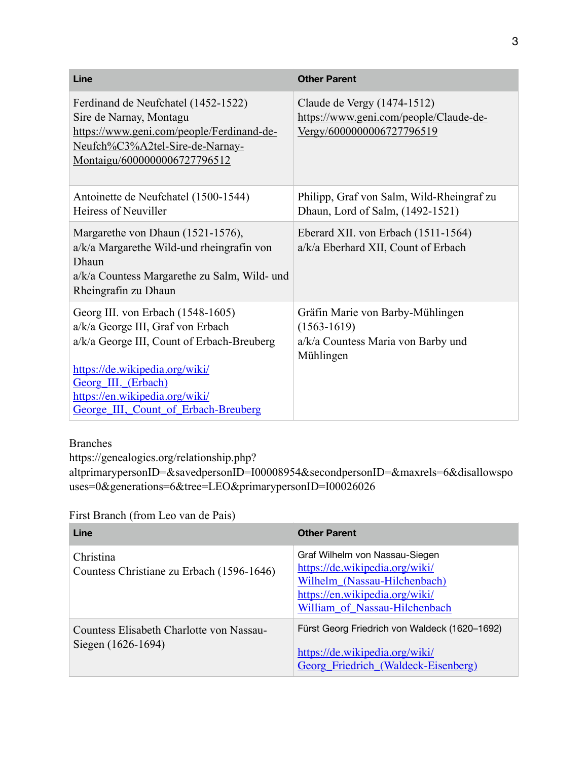| Line                                                                                                                                                                                                                                                    | <b>Other Parent</b>                                                                                    |
|---------------------------------------------------------------------------------------------------------------------------------------------------------------------------------------------------------------------------------------------------------|--------------------------------------------------------------------------------------------------------|
| Ferdinand de Neufchatel (1452-1522)<br>Sire de Narnay, Montagu<br>https://www.geni.com/people/Ferdinand-de-<br>Neufch%C3%A2tel-Sire-de-Narnay-<br>Montaigu/6000000006727796512                                                                          | Claude de Vergy (1474-1512)<br>https://www.geni.com/people/Claude-de-<br>Vergy/6000000006727796519     |
| Antoinette de Neufchatel (1500-1544)<br>Heiress of Neuviller                                                                                                                                                                                            | Philipp, Graf von Salm, Wild-Rheingraf zu<br>Dhaun, Lord of Salm, (1492-1521)                          |
| Margarethe von Dhaun (1521-1576),<br>a/k/a Margarethe Wild-und rheingrafin von<br>Dhaun<br>a/k/a Countess Margarethe zu Salm, Wild- und<br>Rheingrafin zu Dhaun                                                                                         | Eberard XII. von Erbach (1511-1564)<br>a/k/a Eberhard XII, Count of Erbach                             |
| Georg III. von Erbach (1548-1605)<br>a/k/a George III, Graf von Erbach<br>a/k/a George III, Count of Erbach-Breuberg<br>https://de.wikipedia.org/wiki/<br>Georg III. (Erbach)<br>https://en.wikipedia.org/wiki/<br>George III, Count of Erbach-Breuberg | Gräfin Marie von Barby-Mühlingen<br>$(1563 - 1619)$<br>a/k/a Countess Maria von Barby und<br>Mühlingen |

#### Branches

https://genealogics.org/relationship.php?

altprimarypersonID=&savedpersonID=I00008954&secondpersonID=&maxrels=6&disallowspo uses=0&generations=6&tree=LEO&primarypersonID=I00026026

| First Branch (from Leo van de Pais) |  |
|-------------------------------------|--|
|                                     |  |

| Line                                                           | <b>Other Parent</b>                                                                                                                                                 |
|----------------------------------------------------------------|---------------------------------------------------------------------------------------------------------------------------------------------------------------------|
| Christina<br>Countess Christiane zu Erbach (1596-1646)         | Graf Wilhelm von Nassau-Siegen<br>https://de.wikipedia.org/wiki/<br>Wilhelm (Nassau-Hilchenbach)<br>https://en.wikipedia.org/wiki/<br>William of Nassau-Hilchenbach |
| Countess Elisabeth Charlotte von Nassau-<br>Siegen (1626-1694) | Fürst Georg Friedrich von Waldeck (1620–1692)<br>https://de.wikipedia.org/wiki/<br>Georg_Friedrich_(Waldeck-Eisenberg)                                              |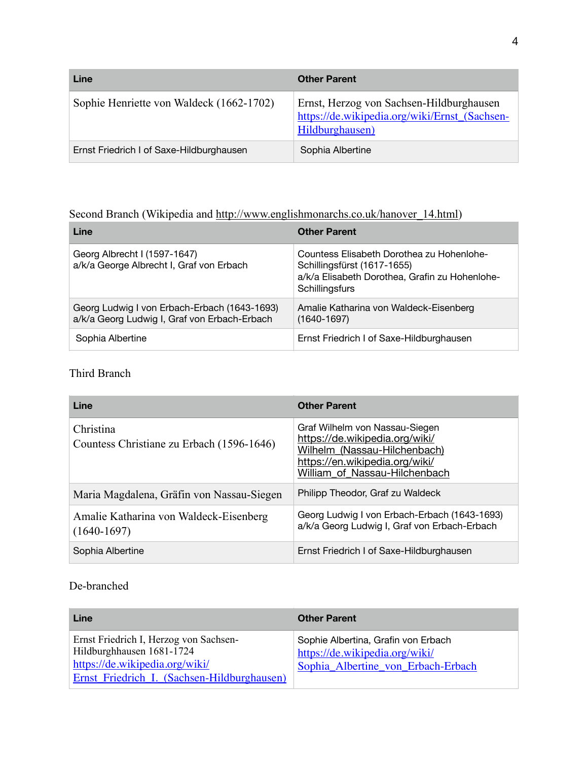| Line                                     | <b>Other Parent</b>                                                                                          |
|------------------------------------------|--------------------------------------------------------------------------------------------------------------|
| Sophie Henriette von Waldeck (1662-1702) | Ernst, Herzog von Sachsen-Hildburghausen<br>https://de.wikipedia.org/wiki/Ernst_(Sachsen-<br>Hildburghausen) |
| Ernst Friedrich I of Saxe-Hildburghausen | Sophia Albertine                                                                                             |

## Second Branch (Wikipedia and [http://www.englishmonarchs.co.uk/hanover\\_14.html](http://www.englishmonarchs.co.uk/hanover_14.html))

| Line                                                                                         | <b>Other Parent</b>                                                                                                                          |
|----------------------------------------------------------------------------------------------|----------------------------------------------------------------------------------------------------------------------------------------------|
| Georg Albrecht I (1597-1647)<br>a/k/a George Albrecht I, Graf von Erbach                     | Countess Elisabeth Dorothea zu Hohenlohe-<br>Schillingsfürst (1617-1655)<br>a/k/a Elisabeth Dorothea, Grafin zu Hohenlohe-<br>Schillingsfurs |
| Georg Ludwig I von Erbach-Erbach (1643-1693)<br>a/k/a Georg Ludwig I, Graf von Erbach-Erbach | Amalie Katharina von Waldeck-Eisenberg<br>$(1640 - 1697)$                                                                                    |
| Sophia Albertine                                                                             | Ernst Friedrich I of Saxe-Hildburghausen                                                                                                     |

### Third Branch

| Line                                                    | <b>Other Parent</b>                                                                                                                                                 |
|---------------------------------------------------------|---------------------------------------------------------------------------------------------------------------------------------------------------------------------|
| Christina<br>Countess Christiane zu Erbach (1596-1646)  | Graf Wilhelm von Nassau-Siegen<br>https://de.wikipedia.org/wiki/<br>Wilhelm (Nassau-Hilchenbach)<br>https://en.wikipedia.org/wiki/<br>William of Nassau-Hilchenbach |
| Maria Magdalena, Gräfin von Nassau-Siegen               | Philipp Theodor, Graf zu Waldeck                                                                                                                                    |
| Amalie Katharina von Waldeck-Eisenberg<br>$(1640-1697)$ | Georg Ludwig I von Erbach-Erbach (1643-1693)<br>a/k/a Georg Ludwig I, Graf von Erbach-Erbach                                                                        |
| Sophia Albertine                                        | Ernst Friedrich I of Saxe-Hildburghausen                                                                                                                            |

### De-branched

| Line                                                                                                                                                 | <b>Other Parent</b>                                                                                         |
|------------------------------------------------------------------------------------------------------------------------------------------------------|-------------------------------------------------------------------------------------------------------------|
| Ernst Friedrich I, Herzog von Sachsen-<br>Hildburghhausen 1681-1724<br>https://de.wikipedia.org/wiki/<br>Ernst Friedrich I. (Sachsen-Hildburghausen) | Sophie Albertina, Grafin von Erbach<br>https://de.wikipedia.org/wiki/<br>Sophia_Albertine_von_Erbach-Erbach |